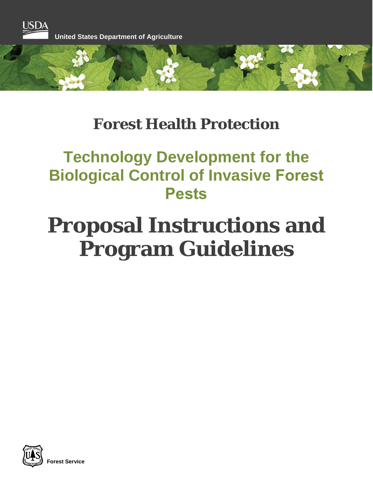

# **Forest Health Protection**

# **Technology Development for the Biological Control of Invasive Forest Pests**

# **Proposal Instructions and Program Guidelines**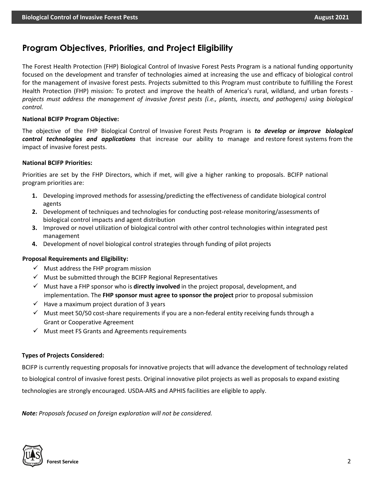## **Program Objectives, Priorities, and Project Eligibility**

The Forest Health Protection (FHP) Biological Control of Invasive Forest Pests Program is a national funding opportunity focused on the development and transfer of technologies aimed at increasing the use and efficacy of biological control for the management of invasive forest pests. Projects submitted to this Program must contribute to fulfilling the Forest Health Protection (FHP) mission: To protect and improve the health of America's rural, wildland, and urban forests *projects must address the management of invasive forest pests (i.e., plants, insects, and pathogens) using biological control.*

#### **National BCIFP Program Objective:**

The objective of the FHP Biological Control of Invasive Forest Pests Program is *to develop or improve biological control technologies and applications* that increase our ability to manage and restore forest systems from the impact of invasive forest pests.

#### **National BCIFP Priorities:**

Priorities are set by the FHP Directors, which if met, will give a higher ranking to proposals. BCIFP national program priorities are:

- **1.** Developing improved methods for assessing/predicting the effectiveness of candidate biological control agents
- **2.** Development of techniques and technologies for conducting post-release monitoring/assessments of biological control impacts and agent distribution
- **3.** Improved or novel utilization of biological control with other control technologies within integrated pest management
- **4.** Development of novel biological control strategies through funding of pilot projects

#### **Proposal Requirements and Eligibility:**

- $\checkmark$  Must address the FHP program mission
- $\checkmark$  Must be submitted through the BCIFP Regional Representatives
- $\checkmark$  Must have a FHP sponsor who is **directly involved** in the project proposal, development, and implementation. The **FHP sponsor must agree to sponsor the project** prior to proposal submission
- $\checkmark$  Have a maximum project duration of 3 years
- $\checkmark$  Must meet 50/50 cost-share requirements if you are a non-federal entity receiving funds through a Grant or Cooperative Agreement
- $\checkmark$  Must meet FS Grants and Agreements requirements

#### **Types of Projects Considered:**

BCIFP is currently requesting proposals for innovative projects that will advance the development of technology related to biological control of invasive forest pests. Original innovative pilot projects as well as proposals to expand existing technologies are strongly encouraged. USDA-ARS and APHIS facilities are eligible to apply.

*Note: Proposals focused on foreign exploration will not be considered.*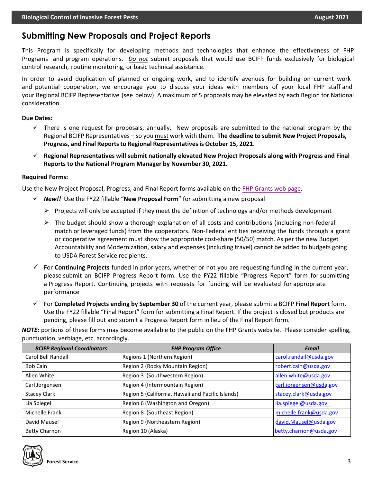## **Submitting New Proposals and Project Reports**

This Program is specifically for developing methods and technologies that enhance the effectiveness of FHP Programs and program operations. *Do not* submit proposals that would use BCIFP funds exclusively for biological control research, routine monitoring, or basic technical assistance.

In order to avoid duplication of planned or ongoing work, and to identify avenues for building on current work and potential cooperation, we encourage you to discuss your ideas with members of your local FHP staff and your Regional BCIFP Representative (see below). A maximum of 5 proposals may be elevated by each Region for National consideration.

#### **Due Dates:**

- $\checkmark$  There is one request for proposals, annually. New proposals are submitted to the national program by the Regional BCIFP Representatives – so you must work with them. **The deadline to submit New Project Proposals, Progress, and Final Reportsto Regional Representatives is October 15, 2021**.
- **Regional Representatives will submit nationally elevated New Project Proposals along with Progress and Final Reports to the National Program Manager by November 30, 2021.**

#### **Required Forms:**

Use the New Project Proposal, Progress, and Final Report forms available on the [FHP Grants web](https://www.fs.fed.us/foresthealth/working-with-us/index.shtml) page.

- *New!!* Use the FY22 fillable "**New Proposal Form**" for submitting a new proposal
	- $\triangleright$  Projects will only be accepted if they meet the definition of technology and/or methods development
	- $\triangleright$  The budget should show a thorough explanation of all costs and contributions (including non-federal match or leveraged funds) from the cooperators. Non-Federal entities receiving the funds through a grant or cooperative agreement must show the appropriate cost-share (50/50) match. As per the new Budget Accountability and Modernization, salary and expenses (including travel) cannot be added to budgets going to USDA Forest Service recipients.
- For **Continuing Projects** funded in prior years, whether or not you are requesting funding in the current year, please submit an BCIFP Progress Report form. Use the FY22 fillable "Progress Report" form for submitting a Progress Report. Continuing projects with requests for funding will be evaluated for appropriate performance
- For **Completed Projects ending by September 30** of the current year, please submit a BCIFP **Final Report** form. Use the FY22 fillable "Final Report" form for submitting a Final Report. If the project is closed but products are pending, please fill out and submit a Progress Report form in lieu of the Final Report form.

*NOTE:* portions of these forms may become available to the public on the FHP Grants website. Please consider spelling, punctuation, verbiage, etc. accordingly.

| <b>BCIFP Regional Coordinators</b> | <b>FHP Program Office</b>                         | <b>Email</b>            |
|------------------------------------|---------------------------------------------------|-------------------------|
| Carol Bell Randall                 | Regions 1 (Northern Region)                       | carol.randall@usda.gov  |
| <b>Bob Cain</b>                    | Region 2 (Rocky Mountain Region)                  | robert.cain@usda.gov    |
| Allen White                        | Region 3 (Southwestern Region)                    | allen.white@usda.gov    |
| Carl Jorgensen                     | Region 4 (Intermountain Region)                   | carl.jorgensen@usda.gov |
| <b>Stacey Clark</b>                | Region 5 (California, Hawaii and Pacific Islands) | stacey.clark@usda.gov   |
| Lia Spiegel                        | Region 6 (Washington and Oregon)                  | lia.spiegel@usda.gov    |
| Michelle Frank                     | Region 8 (Southeast Region)                       | michelle.frank@usda.gov |
| David Mausel                       | Region 9 (Northeastern Region)                    | david.Mausel@usda.gov   |
| <b>Betty Charnon</b>               | Region 10 (Alaska)                                | betty.charnon@usda.gov  |